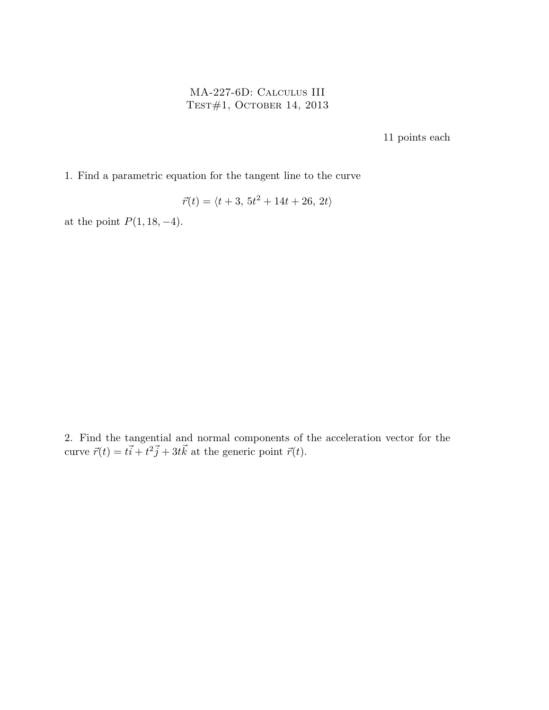## MA-227-6D: Calculus III Test#1, October 14, 2013

11 points each

1. Find a parametric equation for the tangent line to the curve

$$
\vec{r}(t) = \langle t+3, 5t^2 + 14t + 26, 2t \rangle
$$

at the point  $P(1, 18, -4)$ .

2. Find the tangential and normal components of the acceleration vector for the curve  $\vec{r}(t) = t\vec{i} + t^2\vec{j} + 3t\vec{k}$  at the generic point  $\vec{r}(t)$ .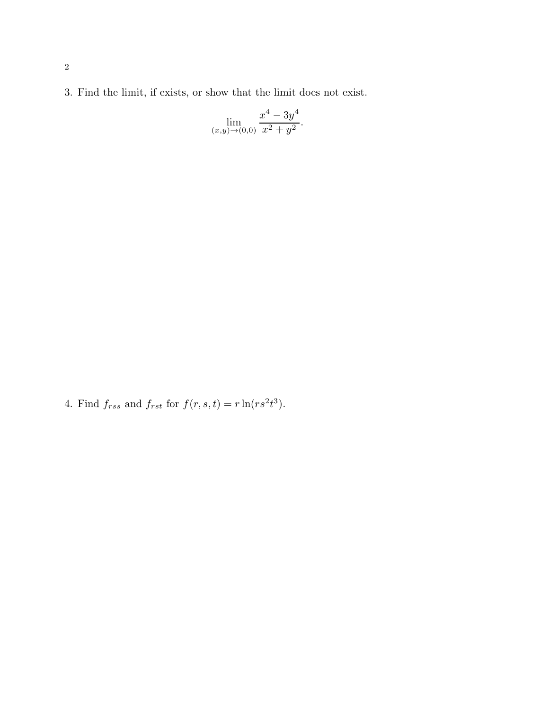3. Find the limit, if exists, or show that the limit does not exist.

$$
\lim_{(x,y)\to(0,0)}\frac{x^4 - 3y^4}{x^2 + y^2}.
$$

4. Find  $f_{rss}$  and  $f_{rst}$  for  $f(r, s, t) = r \ln(rs^2t^3)$ .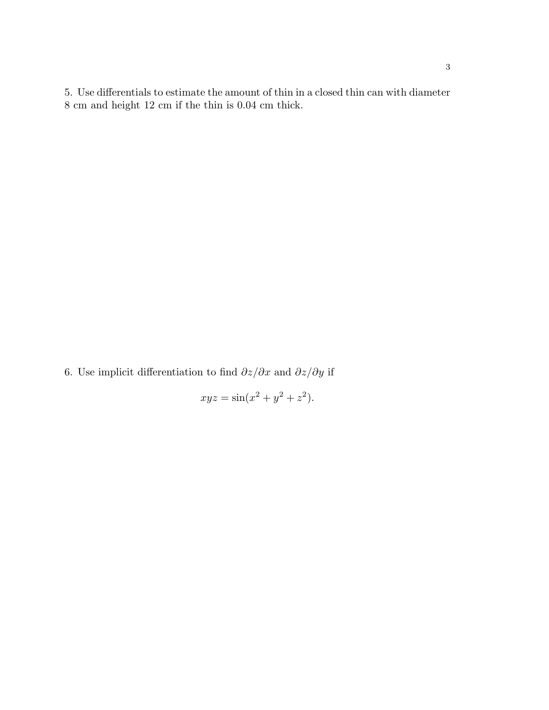5. Use differentials to estimate the amount of thin in a closed thin can with diameter 8 cm and height 12 cm if the thin is 0.04 cm thick.

6. Use implicit differentiation to find  $\partial z/\partial x$  and  $\partial z/\partial y$  if

$$
xyz = \sin(x^2 + y^2 + z^2).
$$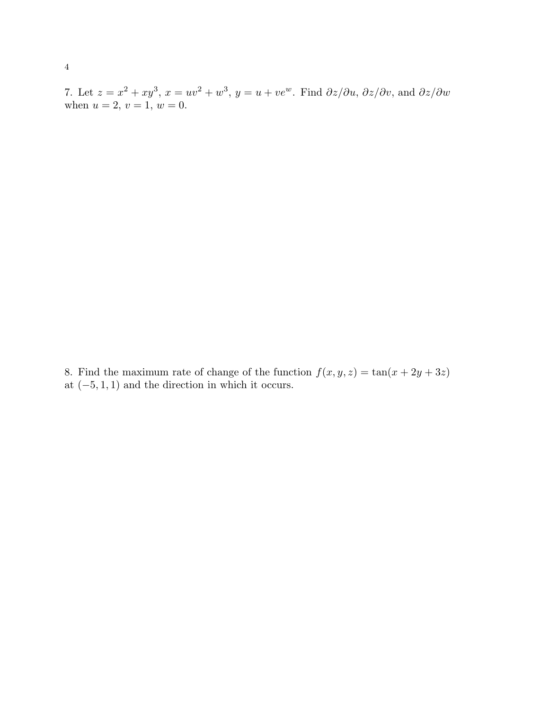7. Let  $z = x^2 + xy^3$ ,  $x = uv^2 + w^3$ ,  $y = u + ve^w$ . Find  $\partial z/\partial u$ ,  $\partial z/\partial v$ , and  $\partial z/\partial w$ when  $u = 2, v = 1, w = 0.$ 

8. Find the maximum rate of change of the function  $f(x, y, z) = \tan(x + 2y + 3z)$ at  $(-5, 1, 1)$  and the direction in which it occurs.